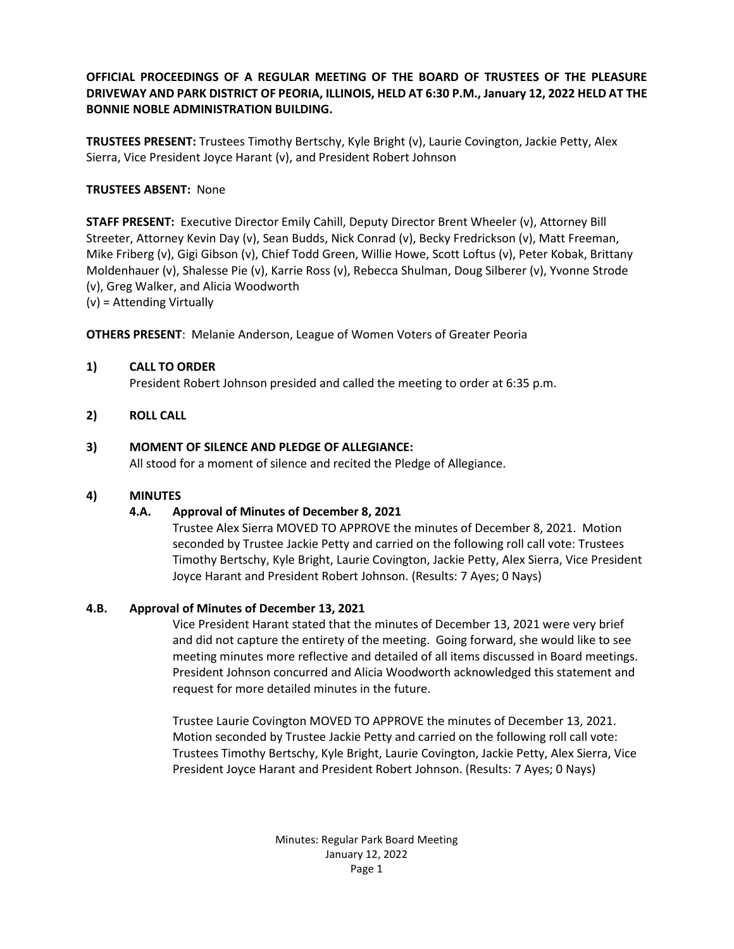**OFFICIAL PROCEEDINGS OF A REGULAR MEETING OF THE BOARD OF TRUSTEES OF THE PLEASURE DRIVEWAY AND PARK DISTRICT OF PEORIA, ILLINOIS, HELD AT 6:30 P.M., January 12, 2022 HELD AT THE BONNIE NOBLE ADMINISTRATION BUILDING.**

**TRUSTEES PRESENT:** Trustees Timothy Bertschy, Kyle Bright (v), Laurie Covington, Jackie Petty, Alex Sierra, Vice President Joyce Harant (v), and President Robert Johnson

## **TRUSTEES ABSENT:** None

**STAFF PRESENT:** Executive Director Emily Cahill, Deputy Director Brent Wheeler (v), Attorney Bill Streeter, Attorney Kevin Day (v), Sean Budds, Nick Conrad (v), Becky Fredrickson (v), Matt Freeman, Mike Friberg (v), Gigi Gibson (v), Chief Todd Green, Willie Howe, Scott Loftus (v), Peter Kobak, Brittany Moldenhauer (v), Shalesse Pie (v), Karrie Ross (v), Rebecca Shulman, Doug Silberer (v), Yvonne Strode (v), Greg Walker, and Alicia Woodworth

(v) = Attending Virtually

**OTHERS PRESENT**: Melanie Anderson, League of Women Voters of Greater Peoria

### **1) CALL TO ORDER**

President Robert Johnson presided and called the meeting to order at 6:35 p.m.

### **2) ROLL CALL**

### **3) MOMENT OF SILENCE AND PLEDGE OF ALLEGIANCE:**

All stood for a moment of silence and recited the Pledge of Allegiance.

### **4) MINUTES**

# **4.A. Approval of Minutes of December 8, 2021**

Trustee Alex Sierra MOVED TO APPROVE the minutes of December 8, 2021. Motion seconded by Trustee Jackie Petty and carried on the following roll call vote: Trustees Timothy Bertschy, Kyle Bright, Laurie Covington, Jackie Petty, Alex Sierra, Vice President Joyce Harant and President Robert Johnson. (Results: 7 Ayes; 0 Nays)

### **4.B. Approval of Minutes of December 13, 2021**

Vice President Harant stated that the minutes of December 13, 2021 were very brief and did not capture the entirety of the meeting. Going forward, she would like to see meeting minutes more reflective and detailed of all items discussed in Board meetings. President Johnson concurred and Alicia Woodworth acknowledged this statement and request for more detailed minutes in the future.

Trustee Laurie Covington MOVED TO APPROVE the minutes of December 13, 2021. Motion seconded by Trustee Jackie Petty and carried on the following roll call vote: Trustees Timothy Bertschy, Kyle Bright, Laurie Covington, Jackie Petty, Alex Sierra, Vice President Joyce Harant and President Robert Johnson. (Results: 7 Ayes; 0 Nays)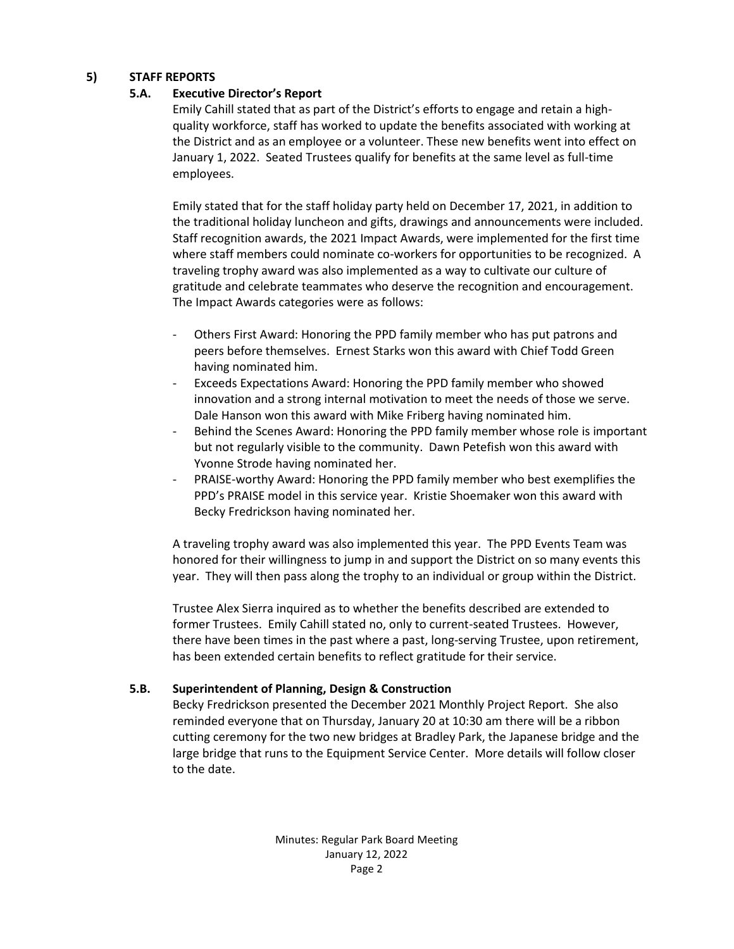### **5) STAFF REPORTS**

## **5.A. Executive Director's Report**

Emily Cahill stated that as part of the District's efforts to engage and retain a highquality workforce, staff has worked to update the benefits associated with working at the District and as an employee or a volunteer. These new benefits went into effect on January 1, 2022. Seated Trustees qualify for benefits at the same level as full-time employees.

Emily stated that for the staff holiday party held on December 17, 2021, in addition to the traditional holiday luncheon and gifts, drawings and announcements were included. Staff recognition awards, the 2021 Impact Awards, were implemented for the first time where staff members could nominate co-workers for opportunities to be recognized. A traveling trophy award was also implemented as a way to cultivate our culture of gratitude and celebrate teammates who deserve the recognition and encouragement. The Impact Awards categories were as follows:

- Others First Award: Honoring the PPD family member who has put patrons and peers before themselves. Ernest Starks won this award with Chief Todd Green having nominated him.
- Exceeds Expectations Award: Honoring the PPD family member who showed innovation and a strong internal motivation to meet the needs of those we serve. Dale Hanson won this award with Mike Friberg having nominated him.
- Behind the Scenes Award: Honoring the PPD family member whose role is important but not regularly visible to the community. Dawn Petefish won this award with Yvonne Strode having nominated her.
- PRAISE-worthy Award: Honoring the PPD family member who best exemplifies the PPD's PRAISE model in this service year. Kristie Shoemaker won this award with Becky Fredrickson having nominated her.

A traveling trophy award was also implemented this year. The PPD Events Team was honored for their willingness to jump in and support the District on so many events this year. They will then pass along the trophy to an individual or group within the District.

Trustee Alex Sierra inquired as to whether the benefits described are extended to former Trustees. Emily Cahill stated no, only to current-seated Trustees. However, there have been times in the past where a past, long-serving Trustee, upon retirement, has been extended certain benefits to reflect gratitude for their service.

# **5.B. Superintendent of Planning, Design & Construction**

Becky Fredrickson presented the December 2021 Monthly Project Report. She also reminded everyone that on Thursday, January 20 at 10:30 am there will be a ribbon cutting ceremony for the two new bridges at Bradley Park, the Japanese bridge and the large bridge that runs to the Equipment Service Center. More details will follow closer to the date.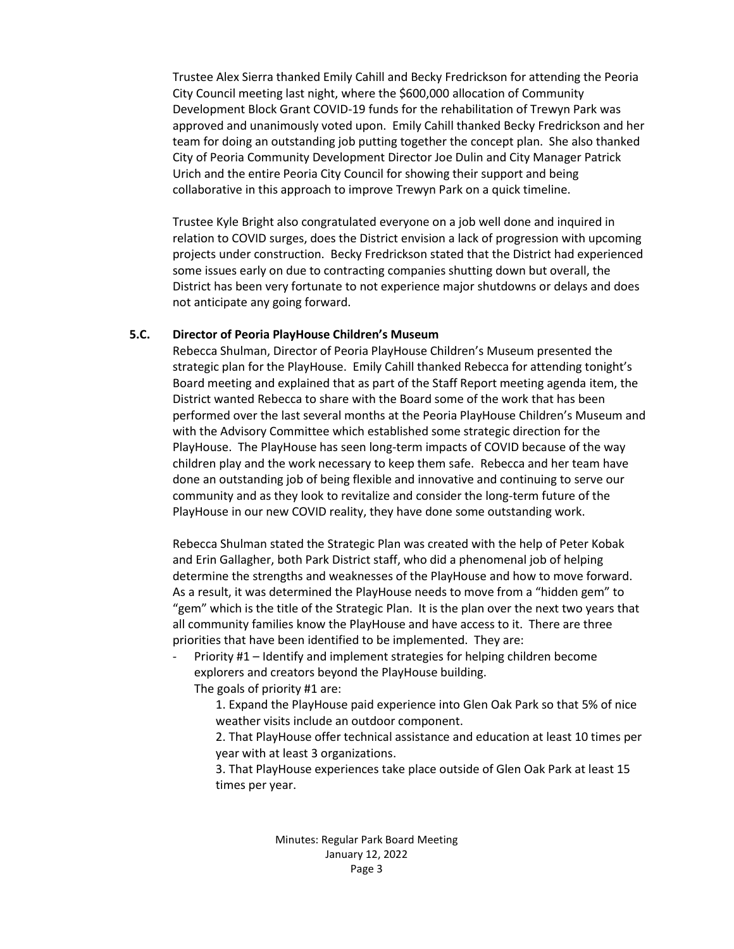Trustee Alex Sierra thanked Emily Cahill and Becky Fredrickson for attending the Peoria City Council meeting last night, where the \$600,000 allocation of Community Development Block Grant COVID-19 funds for the rehabilitation of Trewyn Park was approved and unanimously voted upon. Emily Cahill thanked Becky Fredrickson and her team for doing an outstanding job putting together the concept plan. She also thanked City of Peoria Community Development Director Joe Dulin and City Manager Patrick Urich and the entire Peoria City Council for showing their support and being collaborative in this approach to improve Trewyn Park on a quick timeline.

Trustee Kyle Bright also congratulated everyone on a job well done and inquired in relation to COVID surges, does the District envision a lack of progression with upcoming projects under construction. Becky Fredrickson stated that the District had experienced some issues early on due to contracting companies shutting down but overall, the District has been very fortunate to not experience major shutdowns or delays and does not anticipate any going forward.

#### **5.C. Director of Peoria PlayHouse Children's Museum**

Rebecca Shulman, Director of Peoria PlayHouse Children's Museum presented the strategic plan for the PlayHouse. Emily Cahill thanked Rebecca for attending tonight's Board meeting and explained that as part of the Staff Report meeting agenda item, the District wanted Rebecca to share with the Board some of the work that has been performed over the last several months at the Peoria PlayHouse Children's Museum and with the Advisory Committee which established some strategic direction for the PlayHouse. The PlayHouse has seen long-term impacts of COVID because of the way children play and the work necessary to keep them safe. Rebecca and her team have done an outstanding job of being flexible and innovative and continuing to serve our community and as they look to revitalize and consider the long-term future of the PlayHouse in our new COVID reality, they have done some outstanding work.

Rebecca Shulman stated the Strategic Plan was created with the help of Peter Kobak and Erin Gallagher, both Park District staff, who did a phenomenal job of helping determine the strengths and weaknesses of the PlayHouse and how to move forward. As a result, it was determined the PlayHouse needs to move from a "hidden gem" to "gem" which is the title of the Strategic Plan. It is the plan over the next two years that all community families know the PlayHouse and have access to it. There are three priorities that have been identified to be implemented. They are:

Priority #1 – Identify and implement strategies for helping children become explorers and creators beyond the PlayHouse building. The goals of priority #1 are:

1. Expand the PlayHouse paid experience into Glen Oak Park so that 5% of nice weather visits include an outdoor component.

2. That PlayHouse offer technical assistance and education at least 10 times per year with at least 3 organizations.

3. That PlayHouse experiences take place outside of Glen Oak Park at least 15 times per year.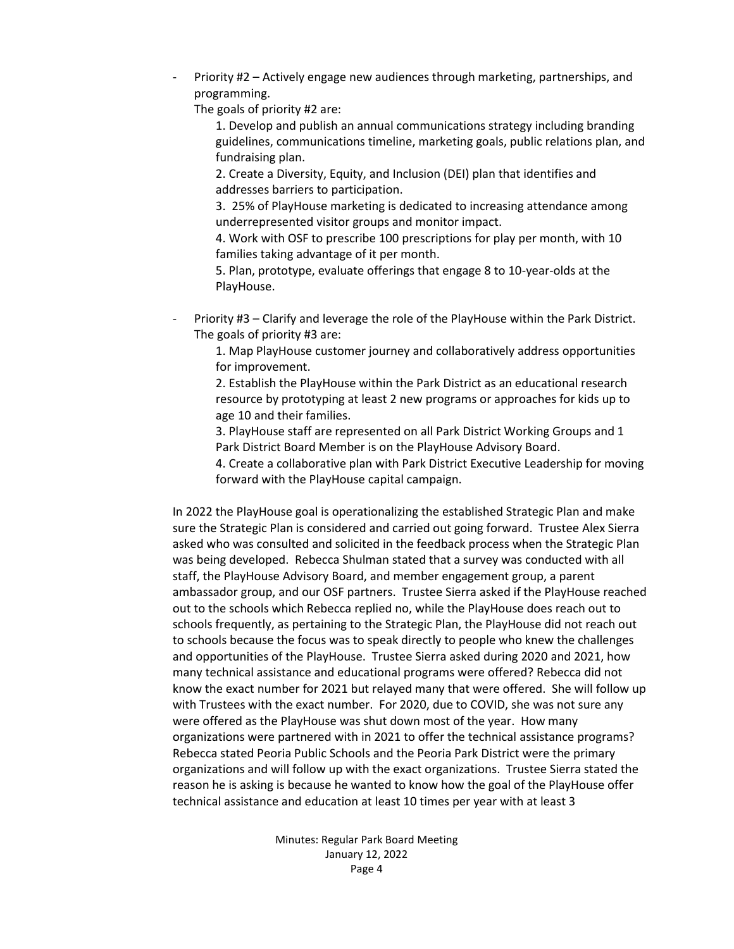Priority #2 – Actively engage new audiences through marketing, partnerships, and programming.

The goals of priority #2 are:

1. Develop and publish an annual communications strategy including branding guidelines, communications timeline, marketing goals, public relations plan, and fundraising plan.

2. Create a Diversity, Equity, and Inclusion (DEI) plan that identifies and addresses barriers to participation.

3. 25% of PlayHouse marketing is dedicated to increasing attendance among underrepresented visitor groups and monitor impact.

4. Work with OSF to prescribe 100 prescriptions for play per month, with 10 families taking advantage of it per month.

5. Plan, prototype, evaluate offerings that engage 8 to 10-year-olds at the PlayHouse.

Priority #3 – Clarify and leverage the role of the PlayHouse within the Park District. The goals of priority #3 are:

1. Map PlayHouse customer journey and collaboratively address opportunities for improvement.

2. Establish the PlayHouse within the Park District as an educational research resource by prototyping at least 2 new programs or approaches for kids up to age 10 and their families.

3. PlayHouse staff are represented on all Park District Working Groups and 1 Park District Board Member is on the PlayHouse Advisory Board.

4. Create a collaborative plan with Park District Executive Leadership for moving forward with the PlayHouse capital campaign.

In 2022 the PlayHouse goal is operationalizing the established Strategic Plan and make sure the Strategic Plan is considered and carried out going forward. Trustee Alex Sierra asked who was consulted and solicited in the feedback process when the Strategic Plan was being developed. Rebecca Shulman stated that a survey was conducted with all staff, the PlayHouse Advisory Board, and member engagement group, a parent ambassador group, and our OSF partners. Trustee Sierra asked if the PlayHouse reached out to the schools which Rebecca replied no, while the PlayHouse does reach out to schools frequently, as pertaining to the Strategic Plan, the PlayHouse did not reach out to schools because the focus was to speak directly to people who knew the challenges and opportunities of the PlayHouse. Trustee Sierra asked during 2020 and 2021, how many technical assistance and educational programs were offered? Rebecca did not know the exact number for 2021 but relayed many that were offered. She will follow up with Trustees with the exact number. For 2020, due to COVID, she was not sure any were offered as the PlayHouse was shut down most of the year. How many organizations were partnered with in 2021 to offer the technical assistance programs? Rebecca stated Peoria Public Schools and the Peoria Park District were the primary organizations and will follow up with the exact organizations. Trustee Sierra stated the reason he is asking is because he wanted to know how the goal of the PlayHouse offer technical assistance and education at least 10 times per year with at least 3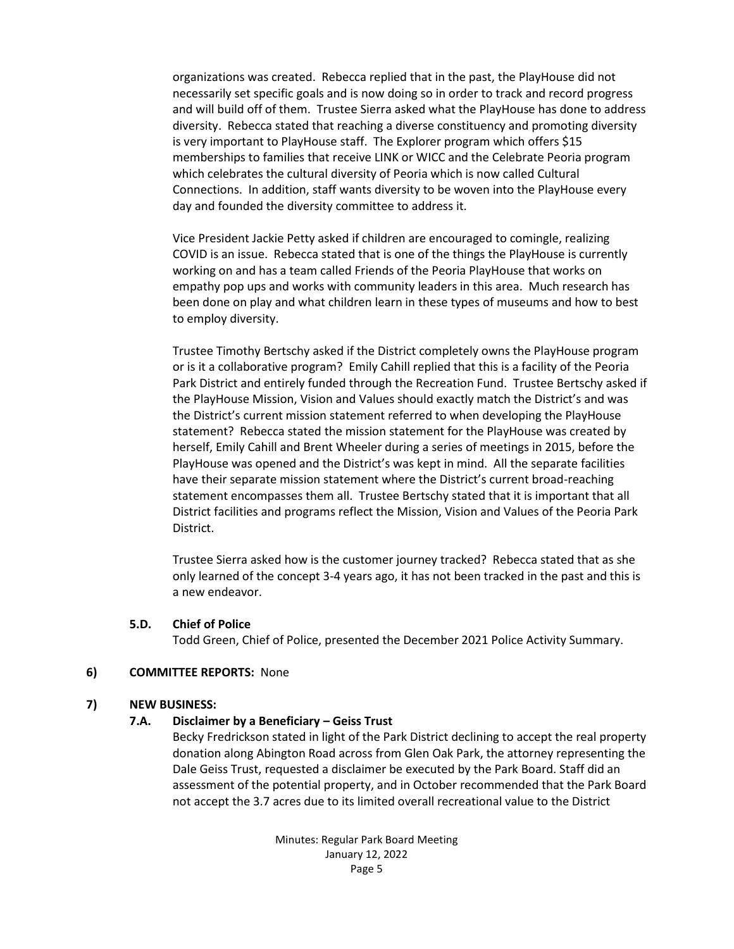organizations was created. Rebecca replied that in the past, the PlayHouse did not necessarily set specific goals and is now doing so in order to track and record progress and will build off of them. Trustee Sierra asked what the PlayHouse has done to address diversity. Rebecca stated that reaching a diverse constituency and promoting diversity is very important to PlayHouse staff. The Explorer program which offers \$15 memberships to families that receive LINK or WICC and the Celebrate Peoria program which celebrates the cultural diversity of Peoria which is now called Cultural Connections. In addition, staff wants diversity to be woven into the PlayHouse every day and founded the diversity committee to address it.

Vice President Jackie Petty asked if children are encouraged to comingle, realizing COVID is an issue. Rebecca stated that is one of the things the PlayHouse is currently working on and has a team called Friends of the Peoria PlayHouse that works on empathy pop ups and works with community leaders in this area. Much research has been done on play and what children learn in these types of museums and how to best to employ diversity.

Trustee Timothy Bertschy asked if the District completely owns the PlayHouse program or is it a collaborative program? Emily Cahill replied that this is a facility of the Peoria Park District and entirely funded through the Recreation Fund. Trustee Bertschy asked if the PlayHouse Mission, Vision and Values should exactly match the District's and was the District's current mission statement referred to when developing the PlayHouse statement? Rebecca stated the mission statement for the PlayHouse was created by herself, Emily Cahill and Brent Wheeler during a series of meetings in 2015, before the PlayHouse was opened and the District's was kept in mind. All the separate facilities have their separate mission statement where the District's current broad-reaching statement encompasses them all. Trustee Bertschy stated that it is important that all District facilities and programs reflect the Mission, Vision and Values of the Peoria Park District.

Trustee Sierra asked how is the customer journey tracked? Rebecca stated that as she only learned of the concept 3-4 years ago, it has not been tracked in the past and this is a new endeavor.

#### **5.D. Chief of Police**

Todd Green, Chief of Police, presented the December 2021 Police Activity Summary.

### **6) COMMITTEE REPORTS:** None

#### **7) NEW BUSINESS:**

### **7.A. Disclaimer by a Beneficiary – Geiss Trust**

Becky Fredrickson stated in light of the Park District declining to accept the real property donation along Abington Road across from Glen Oak Park, the attorney representing the Dale Geiss Trust, requested a disclaimer be executed by the Park Board. Staff did an assessment of the potential property, and in October recommended that the Park Board not accept the 3.7 acres due to its limited overall recreational value to the District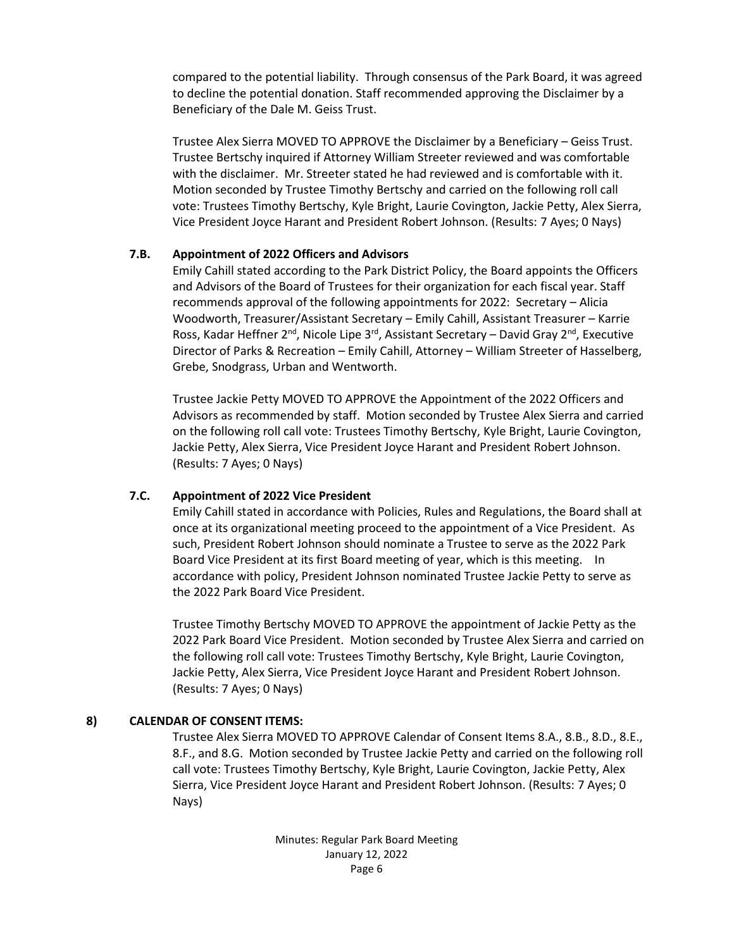compared to the potential liability. Through consensus of the Park Board, it was agreed to decline the potential donation. Staff recommended approving the Disclaimer by a Beneficiary of the Dale M. Geiss Trust.

Trustee Alex Sierra MOVED TO APPROVE the Disclaimer by a Beneficiary – Geiss Trust. Trustee Bertschy inquired if Attorney William Streeter reviewed and was comfortable with the disclaimer. Mr. Streeter stated he had reviewed and is comfortable with it. Motion seconded by Trustee Timothy Bertschy and carried on the following roll call vote: Trustees Timothy Bertschy, Kyle Bright, Laurie Covington, Jackie Petty, Alex Sierra, Vice President Joyce Harant and President Robert Johnson. (Results: 7 Ayes; 0 Nays)

### **7.B. Appointment of 2022 Officers and Advisors**

Emily Cahill stated according to the Park District Policy, the Board appoints the Officers and Advisors of the Board of Trustees for their organization for each fiscal year. Staff recommends approval of the following appointments for 2022: Secretary – Alicia Woodworth, Treasurer/Assistant Secretary – Emily Cahill, Assistant Treasurer – Karrie Ross, Kadar Heffner  $2^{nd}$ , Nicole Lipe  $3^{rd}$ , Assistant Secretary – David Gray  $2^{nd}$ , Executive Director of Parks & Recreation – Emily Cahill, Attorney – William Streeter of Hasselberg, Grebe, Snodgrass, Urban and Wentworth.

Trustee Jackie Petty MOVED TO APPROVE the Appointment of the 2022 Officers and Advisors as recommended by staff. Motion seconded by Trustee Alex Sierra and carried on the following roll call vote: Trustees Timothy Bertschy, Kyle Bright, Laurie Covington, Jackie Petty, Alex Sierra, Vice President Joyce Harant and President Robert Johnson. (Results: 7 Ayes; 0 Nays)

### **7.C. Appointment of 2022 Vice President**

Emily Cahill stated in accordance with Policies, Rules and Regulations, the Board shall at once at its organizational meeting proceed to the appointment of a Vice President. As such, President Robert Johnson should nominate a Trustee to serve as the 2022 Park Board Vice President at its first Board meeting of year, which is this meeting. In accordance with policy, President Johnson nominated Trustee Jackie Petty to serve as the 2022 Park Board Vice President.

Trustee Timothy Bertschy MOVED TO APPROVE the appointment of Jackie Petty as the 2022 Park Board Vice President. Motion seconded by Trustee Alex Sierra and carried on the following roll call vote: Trustees Timothy Bertschy, Kyle Bright, Laurie Covington, Jackie Petty, Alex Sierra, Vice President Joyce Harant and President Robert Johnson. (Results: 7 Ayes; 0 Nays)

# **8) CALENDAR OF CONSENT ITEMS:**

Trustee Alex Sierra MOVED TO APPROVE Calendar of Consent Items 8.A., 8.B., 8.D., 8.E., 8.F., and 8.G. Motion seconded by Trustee Jackie Petty and carried on the following roll call vote: Trustees Timothy Bertschy, Kyle Bright, Laurie Covington, Jackie Petty, Alex Sierra, Vice President Joyce Harant and President Robert Johnson. (Results: 7 Ayes; 0 Nays)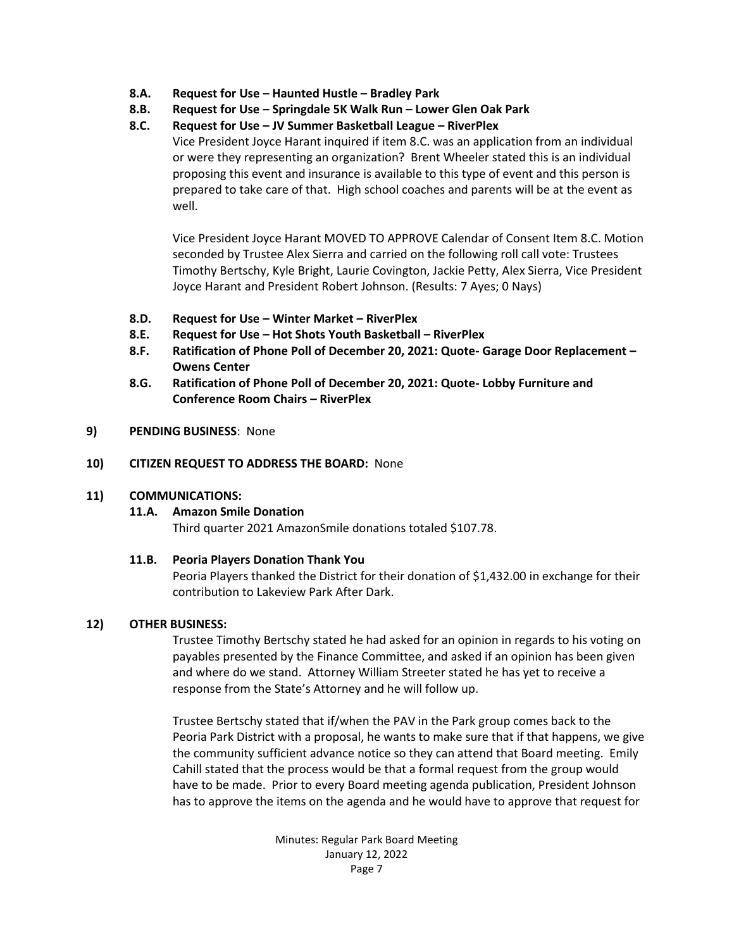- **8.A. Request for Use – Haunted Hustle – Bradley Park**
- **8.B. Request for Use – Springdale 5K Walk Run – Lower Glen Oak Park**

# **8.C. Request for Use – JV Summer Basketball League – RiverPlex**

Vice President Joyce Harant inquired if item 8.C. was an application from an individual or were they representing an organization? Brent Wheeler stated this is an individual proposing this event and insurance is available to this type of event and this person is prepared to take care of that. High school coaches and parents will be at the event as well.

Vice President Joyce Harant MOVED TO APPROVE Calendar of Consent Item 8.C. Motion seconded by Trustee Alex Sierra and carried on the following roll call vote: Trustees Timothy Bertschy, Kyle Bright, Laurie Covington, Jackie Petty, Alex Sierra, Vice President Joyce Harant and President Robert Johnson. (Results: 7 Ayes; 0 Nays)

- **8.D. Request for Use – Winter Market – RiverPlex**
- **8.E. Request for Use – Hot Shots Youth Basketball – RiverPlex**
- **8.F. Ratification of Phone Poll of December 20, 2021: Quote- Garage Door Replacement – Owens Center**
- **8.G. Ratification of Phone Poll of December 20, 2021: Quote- Lobby Furniture and Conference Room Chairs – RiverPlex**

### **9) PENDING BUSINESS**: None

### **10) CITIZEN REQUEST TO ADDRESS THE BOARD:** None

### **11) COMMUNICATIONS:**

### **11.A. Amazon Smile Donation**

Third quarter 2021 AmazonSmile donations totaled \$107.78.

### **11.B. Peoria Players Donation Thank You**

Peoria Players thanked the District for their donation of \$1,432.00 in exchange for their contribution to Lakeview Park After Dark.

### **12) OTHER BUSINESS:**

Trustee Timothy Bertschy stated he had asked for an opinion in regards to his voting on payables presented by the Finance Committee, and asked if an opinion has been given and where do we stand. Attorney William Streeter stated he has yet to receive a response from the State's Attorney and he will follow up.

Trustee Bertschy stated that if/when the PAV in the Park group comes back to the Peoria Park District with a proposal, he wants to make sure that if that happens, we give the community sufficient advance notice so they can attend that Board meeting. Emily Cahill stated that the process would be that a formal request from the group would have to be made. Prior to every Board meeting agenda publication, President Johnson has to approve the items on the agenda and he would have to approve that request for